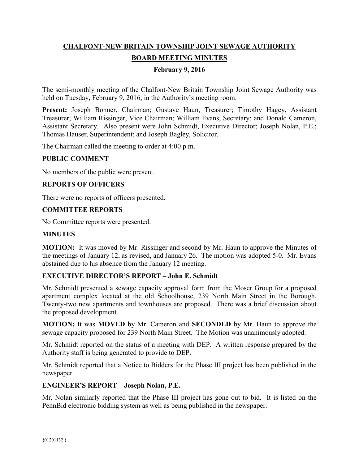# **CHALFONT-NEW BRITAIN TOWNSHIP JOINT SEWAGE AUTHORITY BOARD MEETING MINUTES**

### **February 9, 2016**

The semi-monthly meeting of the Chalfont-New Britain Township Joint Sewage Authority was held on Tuesday, February 9, 2016, in the Authority's meeting room.

**Present:** Joseph Bonner, Chairman; Gustave Haun, Treasurer; Timothy Hagey, Assistant Treasurer; William Rissinger, Vice Chairman; William Evans, Secretary; and Donald Cameron, Assistant Secretary. Also present were John Schmidt, Executive Director; Joseph Nolan, P.E.; Thomas Hauser, Superintendent; and Joseph Bagley, Solicitor.

The Chairman called the meeting to order at 4:00 p.m.

#### **PUBLIC COMMENT**

No members of the public were present.

#### **REPORTS OF OFFICERS**

There were no reports of officers presented.

#### **COMMITTEE REPORTS**

No Committee reports were presented.

#### **MINUTES**

**MOTION:** It was moved by Mr. Rissinger and second by Mr. Haun to approve the Minutes of the meetings of January 12, as revised, and January 26. The motion was adopted 5-0. Mr. Evans abstained due to his absence from the January 12 meeting.

#### **EXECUTIVE DIRECTOR'S REPORT – John E. Schmidt**

Mr. Schmidt presented a sewage capacity approval form from the Moser Group for a proposed apartment complex located at the old Schoolhouse, 239 North Main Street in the Borough. Twenty-two new apartments and townhouses are proposed. There was a brief discussion about the proposed development.

**MOTION:** It was **MOVED** by Mr. Cameron and **SECONDED** by Mr. Haun to approve the sewage capacity proposed for 239 North Main Street. The Motion was unanimously adopted.

Mr. Schmidt reported on the status of a meeting with DEP. A written response prepared by the Authority staff is being generated to provide to DEP.

Mr. Schmidt reported that a Notice to Bidders for the Phase III project has been published in the newspaper.

#### **ENGINEER'S REPORT – Joseph Nolan, P.E.**

Mr. Nolan similarly reported that the Phase III project has gone out to bid. It is listed on the PennBid electronic bidding system as well as being published in the newspaper.